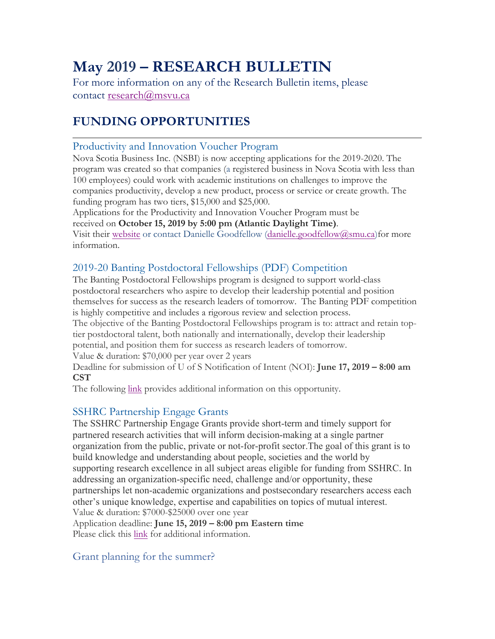# **May 2019 – RESEARCH BULLETIN**

For more information on any of the Research Bulletin items, please contact research@msvu.ca

# **FUNDING OPPORTUNITIES**

## Productivity and Innovation Voucher Program

Nova Scotia Business Inc. (NSBI) is now accepting applications for the 2019-2020. The program was created so that companies (a registered business in Nova Scotia with less than 100 employees) could work with academic institutions on challenges to improve the companies productivity, develop a new product, process or service or create growth. The funding program has two tiers, \$15,000 and \$25,000.

Applications for the Productivity and Innovation Voucher Program must be

received on **October 15, 2019 by 5:00 pm (Atlantic Daylight Time)**.

Visit their website or contact Danielle Goodfellow (danielle.goodfellow@smu.ca)for more information.

# 2019-20 Banting Postdoctoral Fellowships (PDF) Competition

The Banting Postdoctoral Fellowships program is designed to support world-class postdoctoral researchers who aspire to develop their leadership potential and position themselves for success as the research leaders of tomorrow. The Banting PDF competition is highly competitive and includes a rigorous review and selection process.

The objective of the Banting Postdoctoral Fellowships program is to: attract and retain toptier postdoctoral talent, both nationally and internationally, develop their leadership potential, and position them for success as research leaders of tomorrow.

Value & duration: \$70,000 per year over 2 years

Deadline for submission of U of S Notification of Intent (NOI): **June 17, 2019 – 8:00 am CST**

The following link provides additional information on this opportunity.

## SSHRC Partnership Engage Grants

The SSHRC Partnership Engage Grants provide short-term and timely support for partnered research activities that will inform decision-making at a single partner organization from the public, private or not-for-profit sector.The goal of this grant is to build knowledge and understanding about people, societies and the world by supporting research excellence in all subject areas eligible for funding from SSHRC. In addressing an organization-specific need, challenge and/or opportunity, these partnerships let non-academic organizations and postsecondary researchers access each other's unique knowledge, expertise and capabilities on topics of mutual interest. Value & duration: \$7000-\$25000 over one year Application deadline: **June 15, 2019 – 8:00 pm Eastern time** Please click this link for additional information.

## Grant planning for the summer?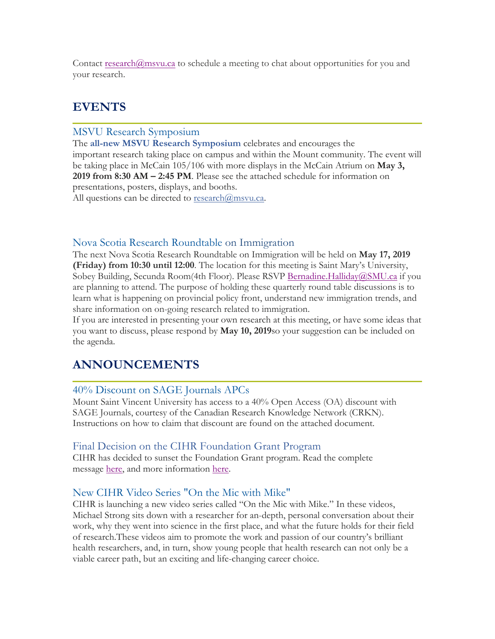Contact research $@$ msvu.ca to schedule a meeting to chat about opportunities for you and your research.

# **EVENTS**

#### MSVU Research Symposium

The **all-new MSVU Research Symposium** celebrates and encourages the important research taking place on campus and within the Mount community. The event will be taking place in McCain 105/106 with more displays in the McCain Atrium on **May 3, 2019 from 8:30 AM – 2:45 PM**. Please see the attached schedule for information on presentations, posters, displays, and booths.

All questions can be directed to  $\text{research}(\hat{a})$ msvu.ca.

#### Nova Scotia Research Roundtable on Immigration

The next Nova Scotia Research Roundtable on Immigration will be held on **May 17, 2019 (Friday) from 10:30 until 12:00**. The location for this meeting is Saint Mary's University, Sobey Building, Secunda Room(4th Floor). Please RSVP Bernadine.Halliday@SMU.ca if you are planning to attend. The purpose of holding these quarterly round table discussions is to learn what is happening on provincial policy front, understand new immigration trends, and share information on on-going research related to immigration.

If you are interested in presenting your own research at this meeting, or have some ideas that you want to discuss, please respond by **May 10, 2019**so your suggestion can be included on the agenda.

# **ANNOUNCEMENTS**

#### 40% Discount on SAGE Journals APCs

Mount Saint Vincent University has access to a 40% Open Access (OA) discount with SAGE Journals, courtesy of the Canadian Research Knowledge Network (CRKN). Instructions on how to claim that discount are found on the attached document.

#### Final Decision on the CIHR Foundation Grant Program

CIHR has decided to sunset the Foundation Grant program. Read the complete message here, and more information here.

#### New CIHR Video Series "On the Mic with Mike"

CIHR is launching a new video series called "On the Mic with Mike." In these videos, Michael Strong sits down with a researcher for an-depth, personal conversation about their work, why they went into science in the first place, and what the future holds for their field of research.These videos aim to promote the work and passion of our country's brilliant health researchers, and, in turn, show young people that health research can not only be a viable career path, but an exciting and life-changing career choice.